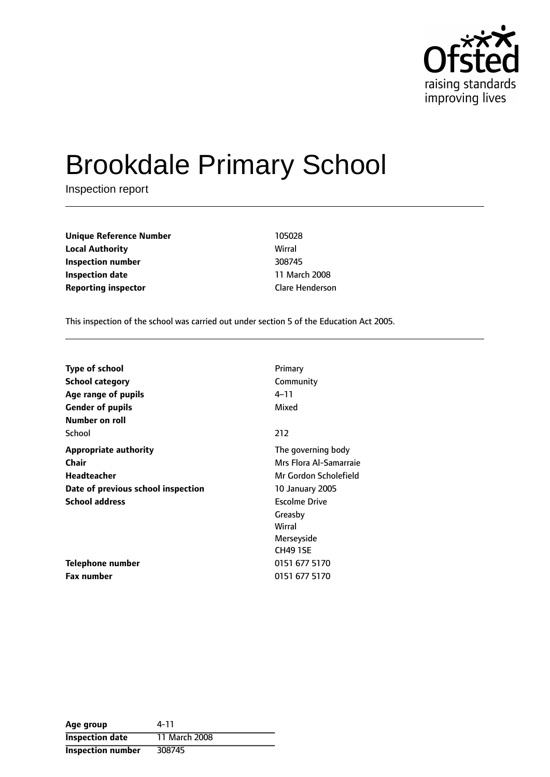

# Brookdale Primary School

Inspection report

**Unique Reference Number** 105028 **Local Authority** Wirral **Inspection number** 308745 **Inspection date** 11 March 2008 **Reporting inspector** Clare Henderson

This inspection of the school was carried out under section 5 of the Education Act 2005.

| <b>Type of school</b>              | Primary                |
|------------------------------------|------------------------|
| <b>School category</b>             | Community              |
| Age range of pupils                | 4–11                   |
| <b>Gender of pupils</b>            | Mixed                  |
| Number on roll                     |                        |
| School                             | 212                    |
| <b>Appropriate authority</b>       | The governing body     |
| <b>Chair</b>                       | Mrs Flora Al-Samarraie |
| Headteacher                        | Mr Gordon Scholefield  |
| Date of previous school inspection | <b>10 January 2005</b> |
| <b>School address</b>              | <b>Escolme Drive</b>   |
|                                    | Greasby                |
|                                    | Wirral                 |
|                                    | Merseyside             |
|                                    | <b>CH49 1SE</b>        |
| Telephone number                   | 0151 677 5170          |
| Fax number                         | 0151 677 5170          |

| Age group                | 4-11          |
|--------------------------|---------------|
| <b>Inspection date</b>   | 11 March 2008 |
| <b>Inspection number</b> | 308745        |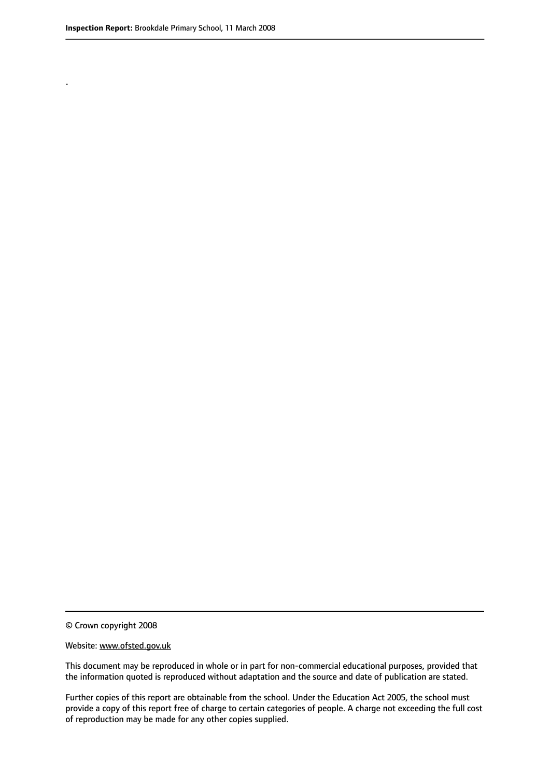.

© Crown copyright 2008

#### Website: www.ofsted.gov.uk

This document may be reproduced in whole or in part for non-commercial educational purposes, provided that the information quoted is reproduced without adaptation and the source and date of publication are stated.

Further copies of this report are obtainable from the school. Under the Education Act 2005, the school must provide a copy of this report free of charge to certain categories of people. A charge not exceeding the full cost of reproduction may be made for any other copies supplied.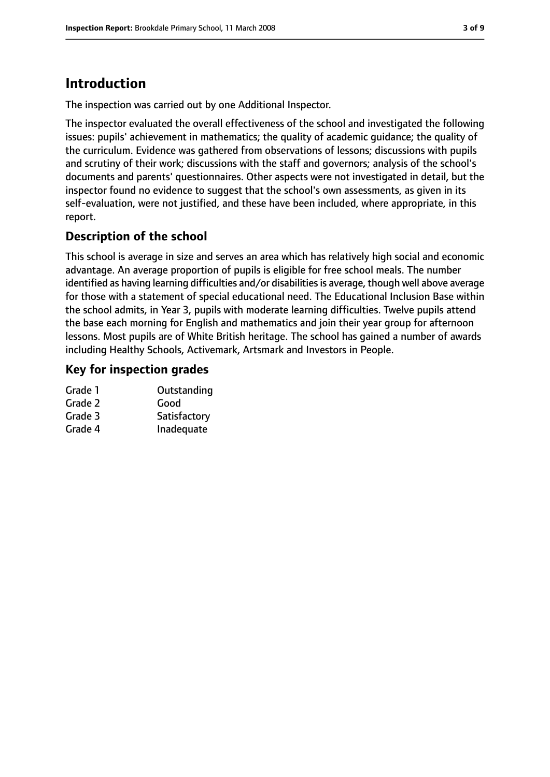# **Introduction**

The inspection was carried out by one Additional Inspector.

The inspector evaluated the overall effectiveness of the school and investigated the following issues: pupils' achievement in mathematics; the quality of academic guidance; the quality of the curriculum. Evidence was gathered from observations of lessons; discussions with pupils and scrutiny of their work; discussions with the staff and governors; analysis of the school's documents and parents' questionnaires. Other aspects were not investigated in detail, but the inspector found no evidence to suggest that the school's own assessments, as given in its self-evaluation, were not justified, and these have been included, where appropriate, in this report.

## **Description of the school**

This school is average in size and serves an area which has relatively high social and economic advantage. An average proportion of pupils is eligible for free school meals. The number identified as having learning difficulties and/or disabilities is average, though well above average for those with a statement of special educational need. The Educational Inclusion Base within the school admits, in Year 3, pupils with moderate learning difficulties. Twelve pupils attend the base each morning for English and mathematics and join their year group for afternoon lessons. Most pupils are of White British heritage. The school has gained a number of awards including Healthy Schools, Activemark, Artsmark and Investors in People.

#### **Key for inspection grades**

| Outstanding  |
|--------------|
| Good         |
| Satisfactory |
| Inadequate   |
|              |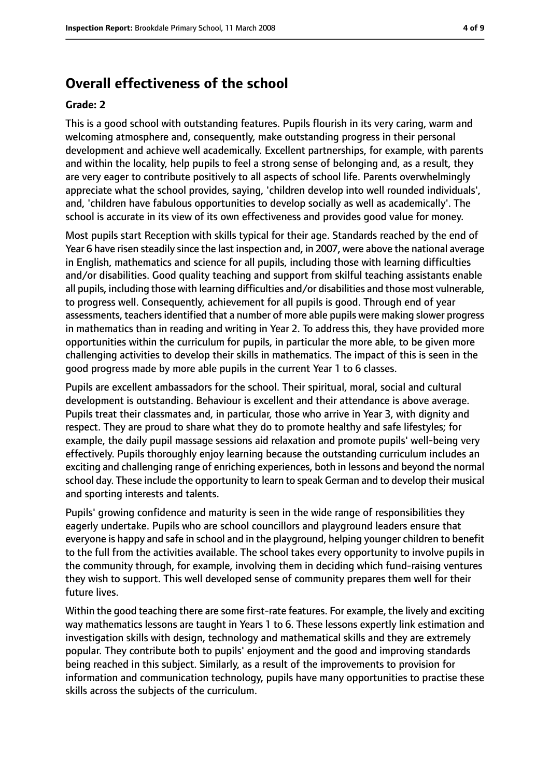## **Overall effectiveness of the school**

#### **Grade: 2**

This is a good school with outstanding features. Pupils flourish in its very caring, warm and welcoming atmosphere and, consequently, make outstanding progress in their personal development and achieve well academically. Excellent partnerships, for example, with parents and within the locality, help pupils to feel a strong sense of belonging and, as a result, they are very eager to contribute positively to all aspects of school life. Parents overwhelmingly appreciate what the school provides, saying, 'children develop into well rounded individuals', and, 'children have fabulous opportunities to develop socially as well as academically'. The school is accurate in its view of its own effectiveness and provides good value for money.

Most pupils start Reception with skills typical for their age. Standards reached by the end of Year 6 have risen steadily since the last inspection and, in 2007, were above the national average in English, mathematics and science for all pupils, including those with learning difficulties and/or disabilities. Good quality teaching and support from skilful teaching assistants enable all pupils, including those with learning difficulties and/or disabilities and those most vulnerable, to progress well. Consequently, achievement for all pupils is good. Through end of year assessments, teachers identified that a number of more able pupils were making slower progress in mathematics than in reading and writing in Year 2. To address this, they have provided more opportunities within the curriculum for pupils, in particular the more able, to be given more challenging activities to develop their skills in mathematics. The impact of this is seen in the good progress made by more able pupils in the current Year 1 to 6 classes.

Pupils are excellent ambassadors for the school. Their spiritual, moral, social and cultural development is outstanding. Behaviour is excellent and their attendance is above average. Pupils treat their classmates and, in particular, those who arrive in Year 3, with dignity and respect. They are proud to share what they do to promote healthy and safe lifestyles; for example, the daily pupil massage sessions aid relaxation and promote pupils' well-being very effectively. Pupils thoroughly enjoy learning because the outstanding curriculum includes an exciting and challenging range of enriching experiences, both in lessons and beyond the normal school day. These include the opportunity to learn to speak German and to develop their musical and sporting interests and talents.

Pupils' growing confidence and maturity is seen in the wide range of responsibilities they eagerly undertake. Pupils who are school councillors and playground leaders ensure that everyone is happy and safe in school and in the playground, helping younger children to benefit to the full from the activities available. The school takes every opportunity to involve pupils in the community through, for example, involving them in deciding which fund-raising ventures they wish to support. This well developed sense of community prepares them well for their future lives.

Within the good teaching there are some first-rate features. For example, the lively and exciting way mathematics lessons are taught in Years 1 to 6. These lessons expertly link estimation and investigation skills with design, technology and mathematical skills and they are extremely popular. They contribute both to pupils' enjoyment and the good and improving standards being reached in this subject. Similarly, as a result of the improvements to provision for information and communication technology, pupils have many opportunities to practise these skills across the subjects of the curriculum.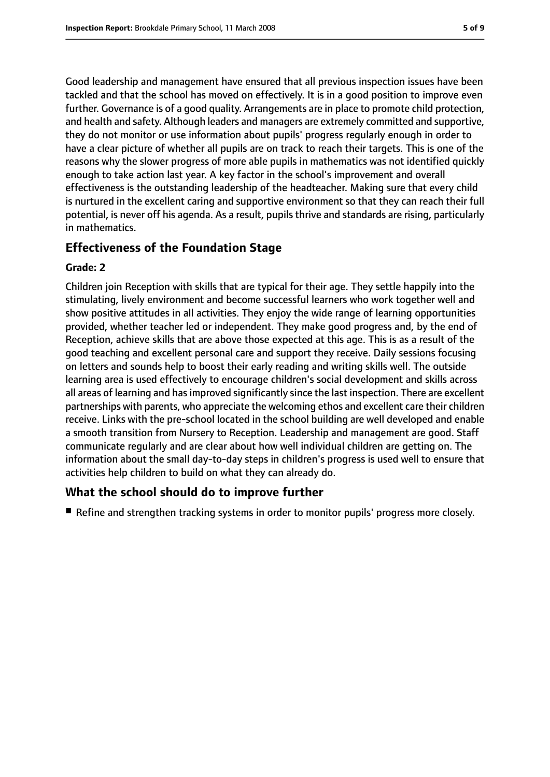Good leadership and management have ensured that all previous inspection issues have been tackled and that the school has moved on effectively. It is in a good position to improve even further. Governance is of a good quality. Arrangements are in place to promote child protection, and health and safety. Although leaders and managers are extremely committed and supportive, they do not monitor or use information about pupils' progress regularly enough in order to have a clear picture of whether all pupils are on track to reach their targets. This is one of the reasons why the slower progress of more able pupils in mathematics was not identified quickly enough to take action last year. A key factor in the school's improvement and overall effectiveness is the outstanding leadership of the headteacher. Making sure that every child is nurtured in the excellent caring and supportive environment so that they can reach their full potential, is never off his agenda. As a result, pupils thrive and standards are rising, particularly in mathematics.

#### **Effectiveness of the Foundation Stage**

#### **Grade: 2**

Children join Reception with skills that are typical for their age. They settle happily into the stimulating, lively environment and become successful learners who work together well and show positive attitudes in all activities. They enjoy the wide range of learning opportunities provided, whether teacher led or independent. They make good progress and, by the end of Reception, achieve skills that are above those expected at this age. This is as a result of the good teaching and excellent personal care and support they receive. Daily sessions focusing on letters and sounds help to boost their early reading and writing skills well. The outside learning area is used effectively to encourage children's social development and skills across all areas of learning and has improved significantly since the last inspection. There are excellent partnerships with parents, who appreciate the welcoming ethos and excellent care their children receive. Links with the pre-school located in the school building are well developed and enable a smooth transition from Nursery to Reception. Leadership and management are good. Staff communicate regularly and are clear about how well individual children are getting on. The information about the small day-to-day steps in children's progress is used well to ensure that activities help children to build on what they can already do.

#### **What the school should do to improve further**

■ Refine and strengthen tracking systems in order to monitor pupils' progress more closely.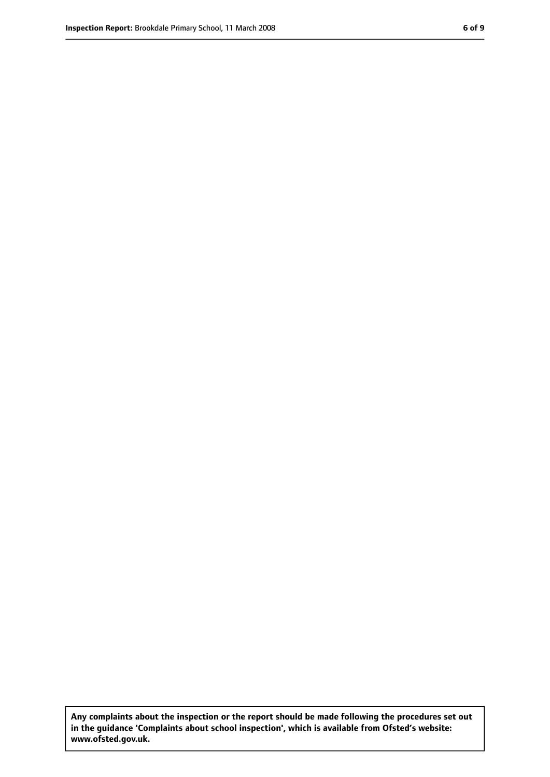**Any complaints about the inspection or the report should be made following the procedures set out in the guidance 'Complaints about school inspection', which is available from Ofsted's website: www.ofsted.gov.uk.**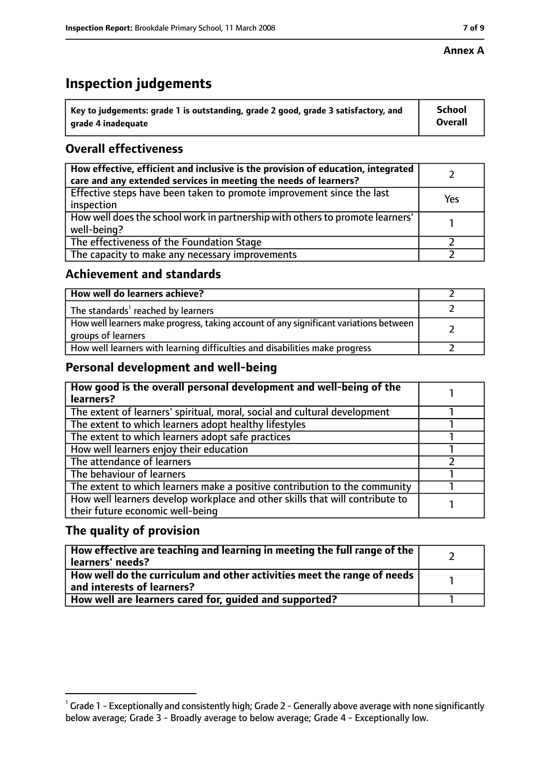#### **Annex A**

## **Inspection judgements**

| $^{\backprime}$ Key to judgements: grade 1 is outstanding, grade 2 good, grade 3 satisfactory, and | <b>School</b>  |
|----------------------------------------------------------------------------------------------------|----------------|
| arade 4 inadequate                                                                                 | <b>Overall</b> |

## **Overall effectiveness**

| How effective, efficient and inclusive is the provision of education, integrated<br>care and any extended services in meeting the needs of learners? |     |
|------------------------------------------------------------------------------------------------------------------------------------------------------|-----|
| Effective steps have been taken to promote improvement since the last<br>inspection                                                                  | Yes |
| How well does the school work in partnership with others to promote learners'<br>well-being?                                                         |     |
| The effectiveness of the Foundation Stage                                                                                                            |     |
| The capacity to make any necessary improvements                                                                                                      |     |

#### **Achievement and standards**

| How well do learners achieve?                                                                               |  |
|-------------------------------------------------------------------------------------------------------------|--|
| The standards <sup>1</sup> reached by learners                                                              |  |
| How well learners make progress, taking account of any significant variations between<br>groups of learners |  |
| How well learners with learning difficulties and disabilities make progress                                 |  |

#### **Personal development and well-being**

| How good is the overall personal development and well-being of the<br>learners? |  |
|---------------------------------------------------------------------------------|--|
|                                                                                 |  |
| The extent of learners' spiritual, moral, social and cultural development       |  |
| The extent to which learners adopt healthy lifestyles                           |  |
| The extent to which learners adopt safe practices                               |  |
| How well learners enjoy their education                                         |  |
| The attendance of learners                                                      |  |
| The behaviour of learners                                                       |  |
| The extent to which learners make a positive contribution to the community      |  |
| How well learners develop workplace and other skills that will contribute to    |  |
| their future economic well-being                                                |  |

#### **The quality of provision**

| How effective are teaching and learning in meeting the full range of the<br>learners' needs?          |  |
|-------------------------------------------------------------------------------------------------------|--|
| How well do the curriculum and other activities meet the range of needs<br>and interests of learners? |  |
| How well are learners cared for, quided and supported?                                                |  |

 $^1$  Grade 1 - Exceptionally and consistently high; Grade 2 - Generally above average with none significantly below average; Grade 3 - Broadly average to below average; Grade 4 - Exceptionally low.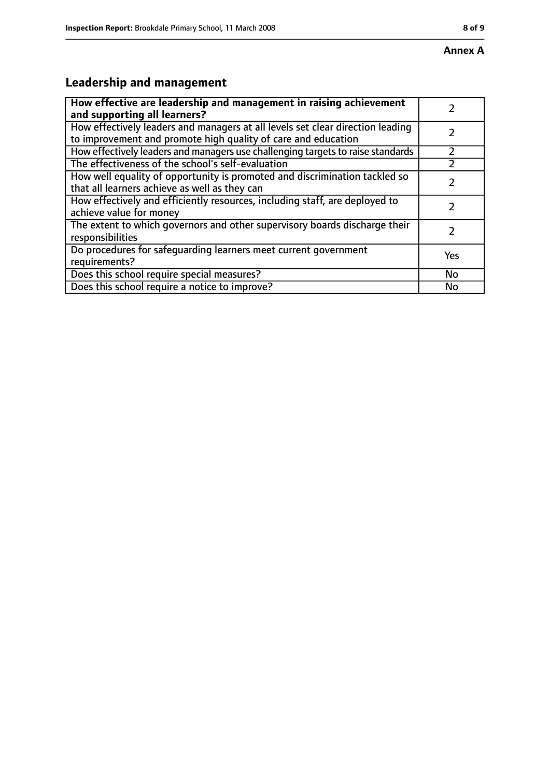# **Leadership and management**

| How effective are leadership and management in raising achievement<br>and supporting all learners?                                              |     |
|-------------------------------------------------------------------------------------------------------------------------------------------------|-----|
| How effectively leaders and managers at all levels set clear direction leading<br>to improvement and promote high quality of care and education |     |
| How effectively leaders and managers use challenging targets to raise standards                                                                 |     |
| The effectiveness of the school's self-evaluation                                                                                               |     |
| How well equality of opportunity is promoted and discrimination tackled so<br>that all learners achieve as well as they can                     |     |
| How effectively and efficiently resources, including staff, are deployed to<br>achieve value for money                                          |     |
| The extent to which governors and other supervisory boards discharge their<br>responsibilities                                                  |     |
| Do procedures for safequarding learners meet current government<br>requirements?                                                                | Yes |
| Does this school require special measures?                                                                                                      | No  |
| Does this school require a notice to improve?                                                                                                   | No  |